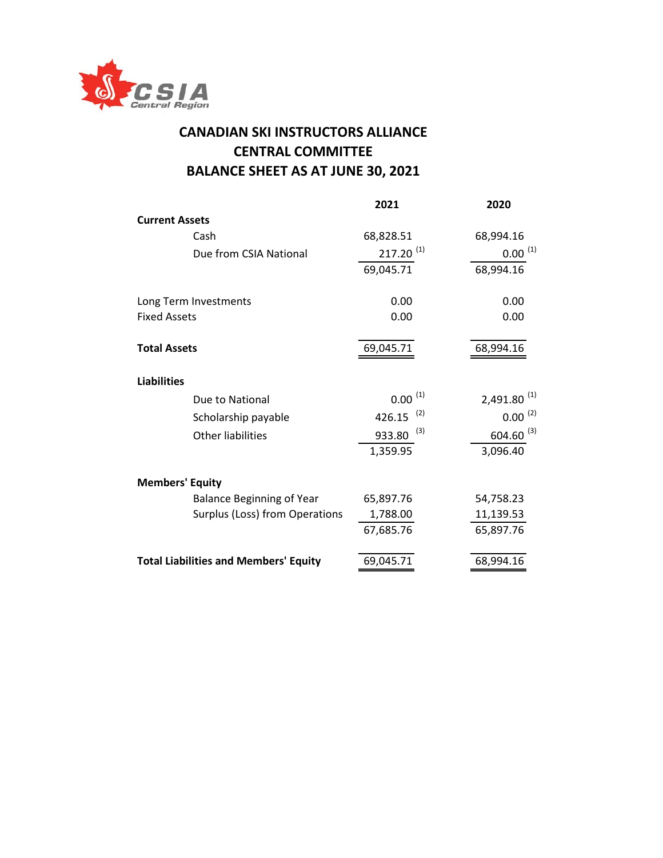

## **CANADIAN SKI INSTRUCTORS ALLIANCE CENTRAL COMMITTEE BALANCE SHEET AS AT JUNE 30, 2021**

|                                              | 2021                            | 2020             |
|----------------------------------------------|---------------------------------|------------------|
| <b>Current Assets</b>                        |                                 |                  |
| Cash                                         | 68,828.51                       | 68,994.16        |
| Due from CSIA National                       | $217.20$ <sup>(1)</sup>         | $0.00^{(1)}$     |
|                                              | 69,045.71                       | 68,994.16        |
| Long Term Investments                        | 0.00                            | 0.00             |
| <b>Fixed Assets</b>                          | 0.00                            | 0.00             |
| <b>Total Assets</b>                          | 69,045.71                       | 68,994.16        |
| <b>Liabilities</b>                           |                                 |                  |
| Due to National                              | (1)<br>0.00                     | $2,491.80^{(1)}$ |
| Scholarship payable                          | (2)<br>426.15                   | $0.00^{(2)}$     |
| <b>Other liabilities</b>                     | (3)<br>$604.60^{(3)}$<br>933.80 |                  |
|                                              | 1,359.95                        | 3,096.40         |
| <b>Members' Equity</b>                       |                                 |                  |
| <b>Balance Beginning of Year</b>             | 65,897.76                       | 54,758.23        |
| Surplus (Loss) from Operations               | 1,788.00                        | 11,139.53        |
|                                              | 67,685.76                       | 65,897.76        |
| <b>Total Liabilities and Members' Equity</b> | 69,045.71                       | 68,994.16        |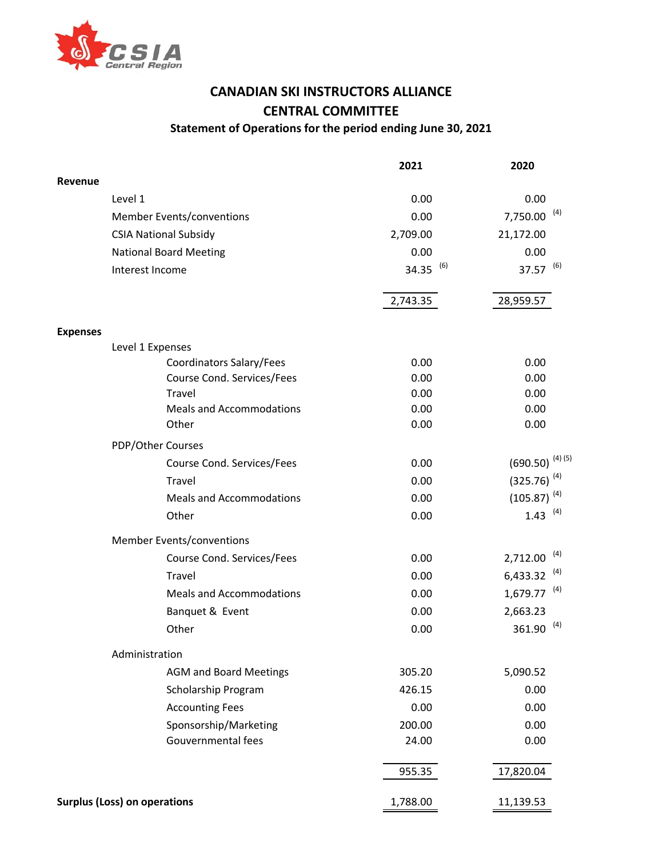

## **CANADIAN SKI INSTRUCTORS ALLIANCE CENTRAL COMMITTEE Statement of Operations for the period ending June 30, 2021**

**2021 2020 Revenue**  $Level 1$  0.00 0.00 Member Events/conventions 6.00 and 1.750.00 mm  $1,750.00$  (4) CSIA National Subsidy 2,709.00 21,172.00 National Board Meeting 0.00 0.00 Interest Income  $34.35^{(6)}$  37.57  $^{(6)}$ 2,743.35 28,959.57 **Expenses** Level 1 Expenses Coordinators Salary/Fees 0.00 0.00 0.00 0.00 Course Cond. Services/Fees 0.00 0.00 0.00 0.00 Travel 0.00 0.00 Meals and Accommodations and  $0.00$  0.00 0.00 Other 0.00 0.00 0.00 PDP/Other Courses Course Cond. Services/Fees  $0.00$  (690.50) (4) (5) Travel  $0.00$  (325.76)<sup>(4)</sup> Meals and Accommodations  $0.00$  (105.87)<sup>(4)</sup> Other 0.00  $1.43^{(4)}$ Member Events/conventions Course Cond. Services/Fees 0.00 2,712.00 (4) Travel  $0.00$  6,433.32  $^{(4)}$ Meals and Accommodations 0.00 1,679.77 <sup>(4)</sup> Banquet & Event 0.00 2,663.23 Other 0.00 361.90 (4) Administration AGM and Board Meetings 305.20 5,090.52 Scholarship Program 426.15 0.00 Accounting Fees 0.00 0.00 0.00 Sponsorship/Marketing 200.00 200.00 0.00 Gouvernmental fees and the control of the control of the 24.00 control of the 0.00 control of the control of the control of the control of the control of the control of the control of the control of the control of the cont 955.35 17,820.04 **Surplus (Loss) on operations** 1,788.00 11,139.53